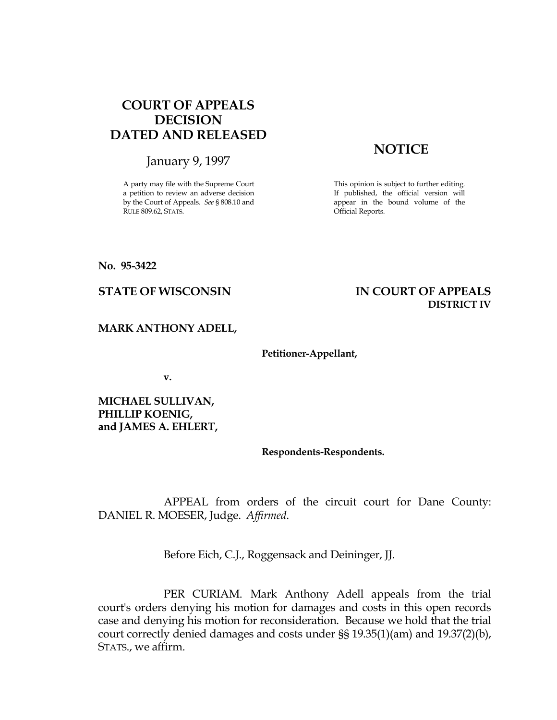# COURT OF APPEALS DECISION DATED AND RELEASED

January 9, 1997

A party may file with the Supreme Court a petition to review an adverse decision by the Court of Appeals. See § 808.10 and RULE 809.62, STATS.

# **NOTICE**

This opinion is subject to further editing. If published, the official version will appear in the bound volume of the Official Reports.

## No. 95-3422

## STATE OF WISCONSIN THE RESERVE TO THE STATE OF APPEALS DISTRICT IV

## MARK ANTHONY ADELL,

## Petitioner-Appellant,

v.

MICHAEL SULLIVAN, PHILLIP KOENIG, and JAMES A. EHLERT,

## Respondents-Respondents.

 APPEAL from orders of the circuit court for Dane County: DANIEL R. MOESER, Judge. Affirmed.

Before Eich, C.J., Roggensack and Deininger, JJ.

 PER CURIAM. Mark Anthony Adell appeals from the trial court's orders denying his motion for damages and costs in this open records case and denying his motion for reconsideration. Because we hold that the trial court correctly denied damages and costs under §§ 19.35(1)(am) and 19.37(2)(b), STATS., we affirm.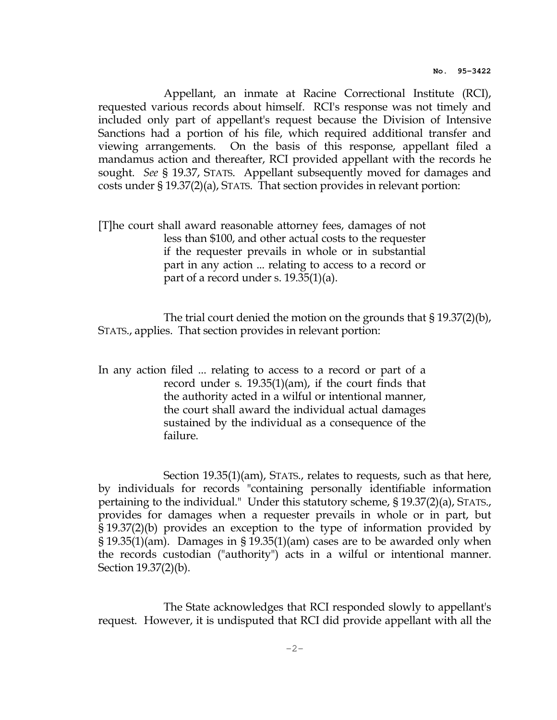Appellant, an inmate at Racine Correctional Institute (RCI), requested various records about himself. RCI's response was not timely and included only part of appellant's request because the Division of Intensive Sanctions had a portion of his file, which required additional transfer and viewing arrangements. On the basis of this response, appellant filed a mandamus action and thereafter, RCI provided appellant with the records he sought. See § 19.37, STATS. Appellant subsequently moved for damages and costs under § 19.37(2)(a), STATS. That section provides in relevant portion:

[T]he court shall award reasonable attorney fees, damages of not less than \$100, and other actual costs to the requester if the requester prevails in whole or in substantial part in any action ... relating to access to a record or part of a record under s. 19.35(1)(a).

 The trial court denied the motion on the grounds that § 19.37(2)(b), STATS., applies. That section provides in relevant portion:

In any action filed ... relating to access to a record or part of a record under s. 19.35(1)(am), if the court finds that the authority acted in a wilful or intentional manner, the court shall award the individual actual damages sustained by the individual as a consequence of the failure.

 Section 19.35(1)(am), STATS., relates to requests, such as that here, by individuals for records "containing personally identifiable information pertaining to the individual." Under this statutory scheme, § 19.37(2)(a), STATS., provides for damages when a requester prevails in whole or in part, but § 19.37(2)(b) provides an exception to the type of information provided by § 19.35(1)(am). Damages in § 19.35(1)(am) cases are to be awarded only when the records custodian ("authority") acts in a wilful or intentional manner. Section 19.37(2)(b).

 The State acknowledges that RCI responded slowly to appellant's request. However, it is undisputed that RCI did provide appellant with all the